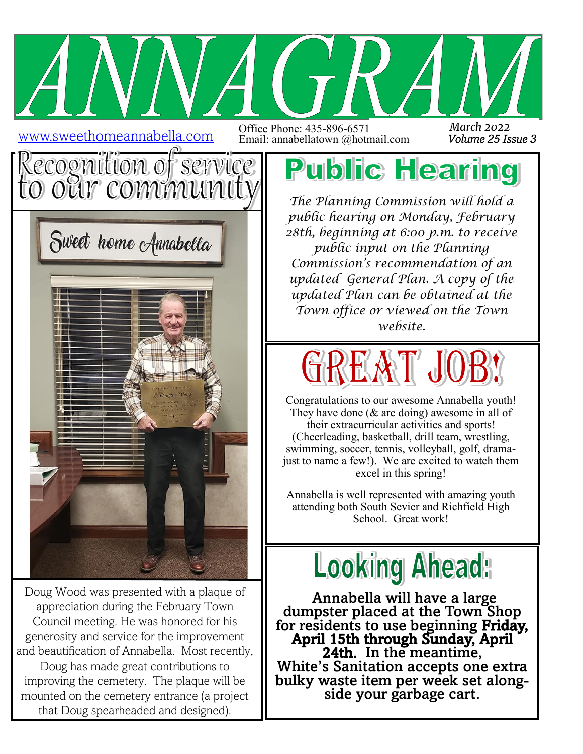www.sweethomeannabella.com

Office Phone: 435-896-6571 Email: annabellatown @hotmail.com *Volume 25 Issue 3 March 2022*





Doug Wood was presented with a plaque of appreciation during the February Town Council meeting. He was honored for his generosity and service for the improvement and beautification of Annabella. Most recently, Doug has made great contributions to improving the cemetery. The plaque will be mounted on the cemetery entrance (a project that Doug spearheaded and designed).

## **Public Hearing**

*The Planning Commission will hold a public hearing on Monday, February 28th, beginning at 6:00 p.m. to receive public input on the Planning Commission's recommendation of an updated General Plan. A copy of the updated Plan can be obtained at the Town office or viewed on the Town website.* 



Congratulations to our awesome Annabella youth! They have done (& are doing) awesome in all of their extracurricular activities and sports! (Cheerleading, basketball, drill team, wrestling, swimming, soccer, tennis, volleyball, golf, dramajust to name a few!). We are excited to watch them excel in this spring!

Annabella is well represented with amazing youth attending both South Sevier and Richfield High School. Great work!



 Annabella will have a large dumpster placed at the Town Shop for residents to use beginning Friday, April 15th through Sunday, April 24th. In the meantime, White's Sanitation accepts one extra bulky waste item per week set alongside your garbage cart.